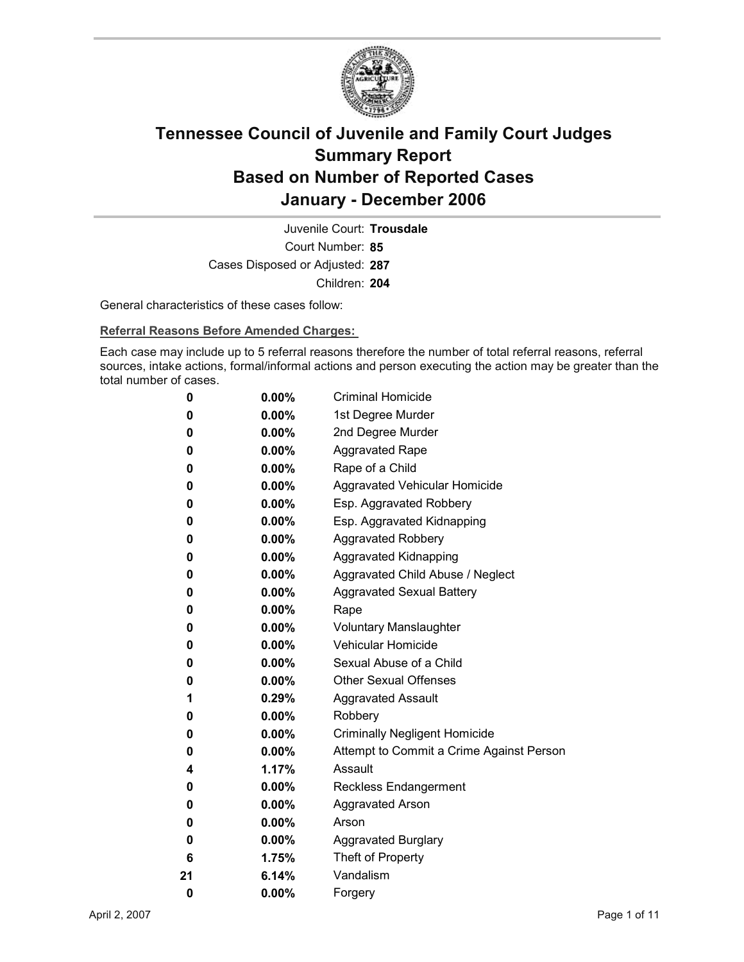

Court Number: **85** Juvenile Court: **Trousdale** Cases Disposed or Adjusted: **287** Children: **204**

General characteristics of these cases follow:

**Referral Reasons Before Amended Charges:** 

Each case may include up to 5 referral reasons therefore the number of total referral reasons, referral sources, intake actions, formal/informal actions and person executing the action may be greater than the total number of cases.

| 0  | $0.00\%$ | <b>Criminal Homicide</b>                 |
|----|----------|------------------------------------------|
| 0  | $0.00\%$ | 1st Degree Murder                        |
| 0  | $0.00\%$ | 2nd Degree Murder                        |
| 0  | $0.00\%$ | <b>Aggravated Rape</b>                   |
| 0  | $0.00\%$ | Rape of a Child                          |
| 0  | $0.00\%$ | Aggravated Vehicular Homicide            |
| 0  | $0.00\%$ | Esp. Aggravated Robbery                  |
| 0  | $0.00\%$ | Esp. Aggravated Kidnapping               |
| 0  | $0.00\%$ | <b>Aggravated Robbery</b>                |
| 0  | $0.00\%$ | <b>Aggravated Kidnapping</b>             |
| 0  | $0.00\%$ | Aggravated Child Abuse / Neglect         |
| 0  | $0.00\%$ | <b>Aggravated Sexual Battery</b>         |
| 0  | $0.00\%$ | Rape                                     |
| 0  | $0.00\%$ | <b>Voluntary Manslaughter</b>            |
| 0  | $0.00\%$ | <b>Vehicular Homicide</b>                |
| 0  | $0.00\%$ | Sexual Abuse of a Child                  |
| 0  | $0.00\%$ | <b>Other Sexual Offenses</b>             |
| 1  | $0.29\%$ | <b>Aggravated Assault</b>                |
| 0  | $0.00\%$ | Robbery                                  |
| 0  | $0.00\%$ | <b>Criminally Negligent Homicide</b>     |
| 0  | $0.00\%$ | Attempt to Commit a Crime Against Person |
| 4  | $1.17\%$ | Assault                                  |
| 0  | $0.00\%$ | <b>Reckless Endangerment</b>             |
| 0  | $0.00\%$ | <b>Aggravated Arson</b>                  |
| 0  | $0.00\%$ | Arson                                    |
| 0  | $0.00\%$ | <b>Aggravated Burglary</b>               |
| 6  | 1.75%    | Theft of Property                        |
| 21 | 6.14%    | Vandalism                                |
| 0  | 0.00%    | Forgery                                  |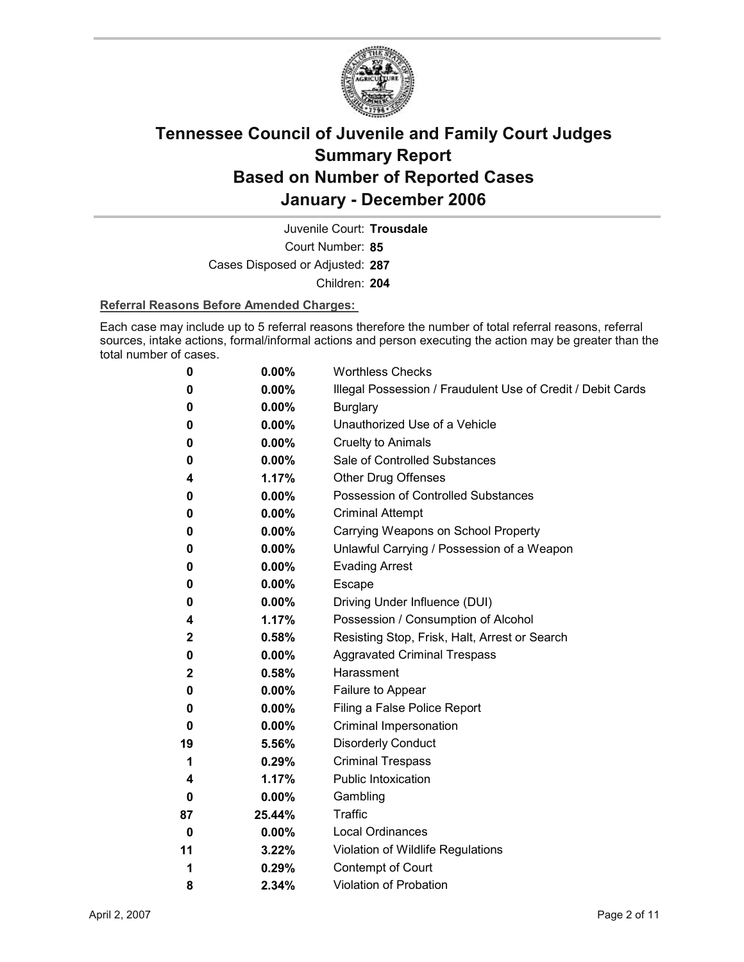

Court Number: **85** Juvenile Court: **Trousdale** Cases Disposed or Adjusted: **287** Children: **204**

#### **Referral Reasons Before Amended Charges:**

Each case may include up to 5 referral reasons therefore the number of total referral reasons, referral sources, intake actions, formal/informal actions and person executing the action may be greater than the total number of cases.

| 0            | 0.00%    | <b>Worthless Checks</b>                                     |
|--------------|----------|-------------------------------------------------------------|
| 0            | 0.00%    | Illegal Possession / Fraudulent Use of Credit / Debit Cards |
| 0            | 0.00%    | <b>Burglary</b>                                             |
| 0            | $0.00\%$ | Unauthorized Use of a Vehicle                               |
| 0            | 0.00%    | <b>Cruelty to Animals</b>                                   |
| 0            | $0.00\%$ | Sale of Controlled Substances                               |
| 4            | 1.17%    | <b>Other Drug Offenses</b>                                  |
| 0            | $0.00\%$ | <b>Possession of Controlled Substances</b>                  |
| 0            | 0.00%    | <b>Criminal Attempt</b>                                     |
| 0            | $0.00\%$ | Carrying Weapons on School Property                         |
| 0            | 0.00%    | Unlawful Carrying / Possession of a Weapon                  |
| 0            | 0.00%    | <b>Evading Arrest</b>                                       |
| 0            | $0.00\%$ | Escape                                                      |
| 0            | $0.00\%$ | Driving Under Influence (DUI)                               |
| 4            | 1.17%    | Possession / Consumption of Alcohol                         |
| 2            | 0.58%    | Resisting Stop, Frisk, Halt, Arrest or Search               |
| 0            | $0.00\%$ | <b>Aggravated Criminal Trespass</b>                         |
| $\mathbf{2}$ | 0.58%    | Harassment                                                  |
| 0            | $0.00\%$ | Failure to Appear                                           |
| 0            | $0.00\%$ | Filing a False Police Report                                |
| 0            | 0.00%    | Criminal Impersonation                                      |
| 19           | 5.56%    | <b>Disorderly Conduct</b>                                   |
| 1            | 0.29%    | <b>Criminal Trespass</b>                                    |
| 4            | 1.17%    | <b>Public Intoxication</b>                                  |
| 0            | $0.00\%$ | Gambling                                                    |
| 87           | 25.44%   | <b>Traffic</b>                                              |
| 0            | 0.00%    | Local Ordinances                                            |
| 11           | 3.22%    | Violation of Wildlife Regulations                           |
| 1            | 0.29%    | Contempt of Court                                           |
| 8            | 2.34%    | <b>Violation of Probation</b>                               |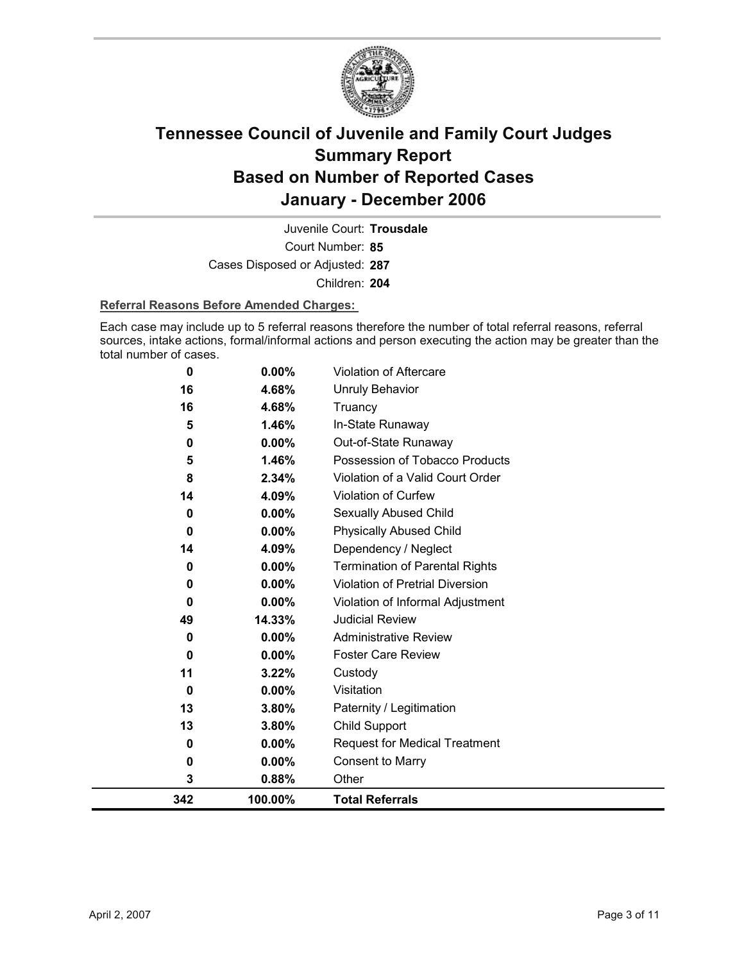

Court Number: **85** Juvenile Court: **Trousdale** Cases Disposed or Adjusted: **287** Children: **204**

#### **Referral Reasons Before Amended Charges:**

Each case may include up to 5 referral reasons therefore the number of total referral reasons, referral sources, intake actions, formal/informal actions and person executing the action may be greater than the total number of cases.

| 342         | 100.00%        | <b>Total Referrals</b>                |
|-------------|----------------|---------------------------------------|
| 3           | 0.88%          | Other                                 |
| 0           | 0.00%          | <b>Consent to Marry</b>               |
| 0           | $0.00\%$       | <b>Request for Medical Treatment</b>  |
| 13          | 3.80%          | <b>Child Support</b>                  |
| 13          | 3.80%          | Paternity / Legitimation              |
| 0           | $0.00\%$       | Visitation                            |
| 11          | 3.22%          | Custody                               |
| $\mathbf 0$ | $0.00\%$       | <b>Foster Care Review</b>             |
| 0           | 0.00%          | <b>Administrative Review</b>          |
| 49          | 14.33%         | <b>Judicial Review</b>                |
| 0           | 0.00%          | Violation of Informal Adjustment      |
| 0           | 0.00%          | Violation of Pretrial Diversion       |
| 0           | 0.00%          | <b>Termination of Parental Rights</b> |
| 14          | 4.09%          | Dependency / Neglect                  |
| $\mathbf 0$ | $0.00\%$       | <b>Physically Abused Child</b>        |
| 0           | 0.00%          | Sexually Abused Child                 |
| 14          | 4.09%          | Violation of Curfew                   |
| 8           | 2.34%          | Violation of a Valid Court Order      |
| 5           | 1.46%          | Possession of Tobacco Products        |
| 0           | 0.00%          | Out-of-State Runaway                  |
| 16<br>5     | 4.68%<br>1.46% | Truancy<br>In-State Runaway           |
| 16          | 4.68%          | <b>Unruly Behavior</b>                |
| 0           | 0.00%          | <b>Violation of Aftercare</b>         |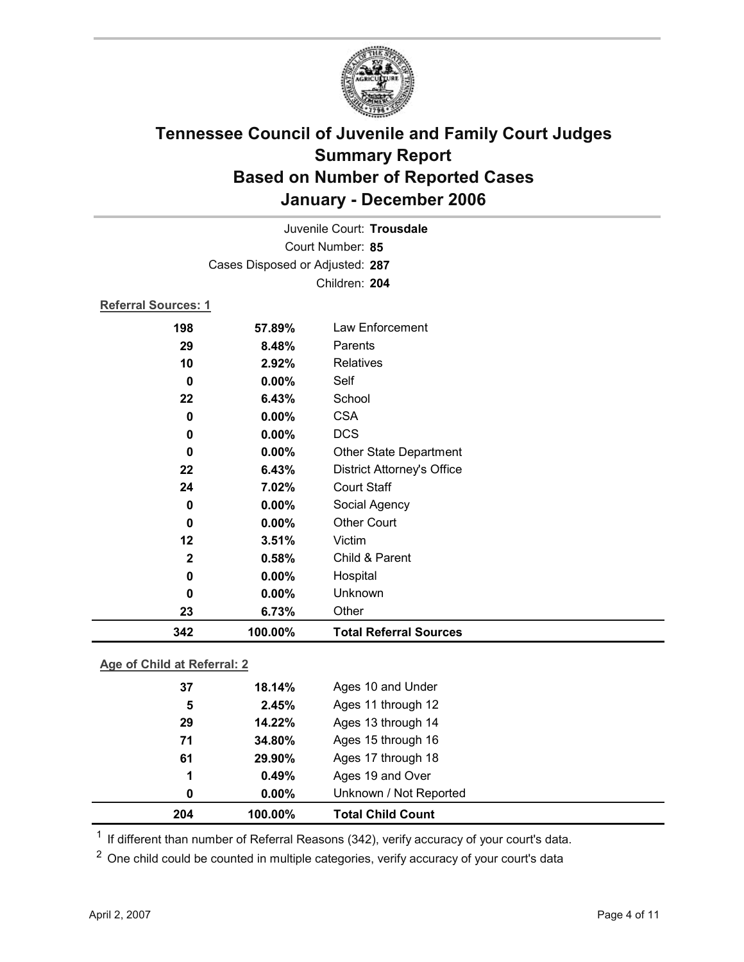

| Juvenile Court: Trousdale  |                                 |                                   |  |
|----------------------------|---------------------------------|-----------------------------------|--|
|                            | Court Number: 85                |                                   |  |
|                            | Cases Disposed or Adjusted: 287 |                                   |  |
|                            |                                 | Children: 204                     |  |
| <b>Referral Sources: 1</b> |                                 |                                   |  |
| 198                        | 57.89%                          | Law Enforcement                   |  |
| 29                         | 8.48%                           | Parents                           |  |
| 10                         | 2.92%                           | <b>Relatives</b>                  |  |
| $\bf{0}$                   | $0.00\%$                        | Self                              |  |
| 22                         | 6.43%                           | School                            |  |
| $\bf{0}$                   | 0.00%                           | <b>CSA</b>                        |  |
| 0                          | 0.00%                           | <b>DCS</b>                        |  |
| $\bf{0}$                   | $0.00\%$                        | <b>Other State Department</b>     |  |
| 22                         | 6.43%                           | <b>District Attorney's Office</b> |  |
| 24                         | 7.02%                           | <b>Court Staff</b>                |  |
| $\bf{0}$                   | 0.00%                           | Social Agency                     |  |
| $\bf{0}$                   | $0.00\%$                        | <b>Other Court</b>                |  |
| 12                         | 3.51%                           | Victim                            |  |
| $\mathbf{2}$               | 0.58%                           | Child & Parent                    |  |
| $\bf{0}$                   | 0.00%                           | Hospital                          |  |
| $\bf{0}$                   | 0.00%                           | Unknown                           |  |
| 23                         | 6.73%                           | Other                             |  |
| 342                        | 100.00%                         | <b>Total Referral Sources</b>     |  |

### **Age of Child at Referral: 2**

| 204 | 100.00%       | <b>Total Child Count</b> |
|-----|---------------|--------------------------|
|     | $0.00\%$<br>0 | Unknown / Not Reported   |
| 1   | 0.49%         | Ages 19 and Over         |
| 61  | 29.90%        | Ages 17 through 18       |
| 71  | 34.80%        | Ages 15 through 16       |
| 29  | 14.22%        | Ages 13 through 14       |
|     | 2.45%<br>5    | Ages 11 through 12       |
| 37  | 18.14%        | Ages 10 and Under        |
|     |               |                          |

 $1$  If different than number of Referral Reasons (342), verify accuracy of your court's data.

<sup>2</sup> One child could be counted in multiple categories, verify accuracy of your court's data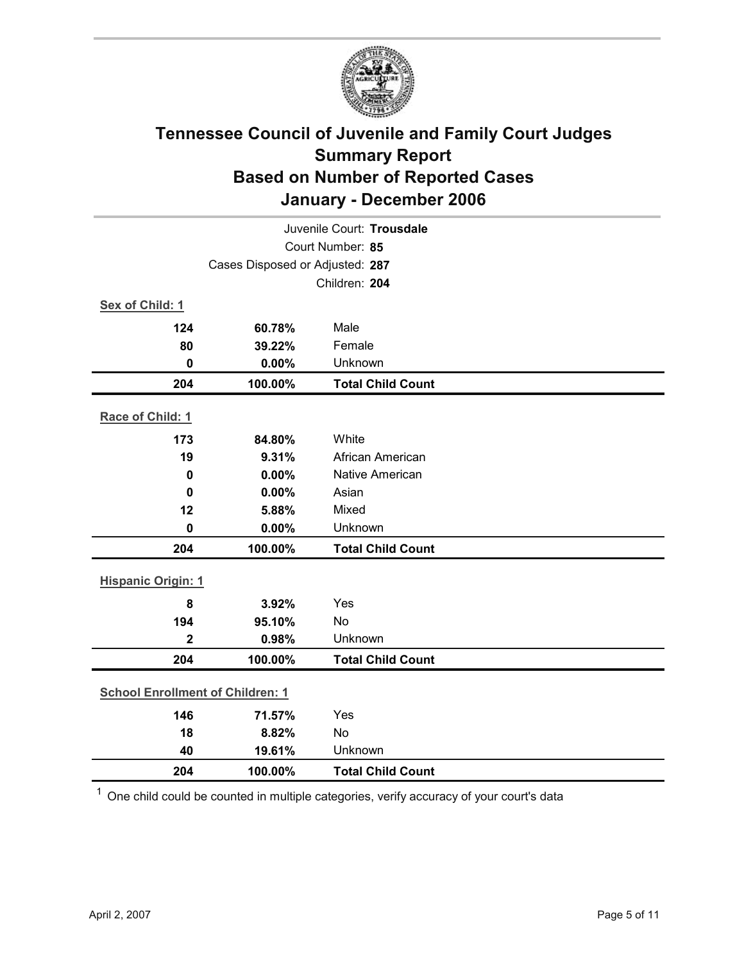

| Juvenile Court: Trousdale               |                                 |                          |  |  |
|-----------------------------------------|---------------------------------|--------------------------|--|--|
| Court Number: 85                        |                                 |                          |  |  |
|                                         | Cases Disposed or Adjusted: 287 |                          |  |  |
|                                         |                                 | Children: 204            |  |  |
| Sex of Child: 1                         |                                 |                          |  |  |
| 124                                     | 60.78%                          | Male                     |  |  |
| 80                                      | 39.22%                          | Female                   |  |  |
| $\mathbf 0$                             | 0.00%                           | Unknown                  |  |  |
| 204                                     | 100.00%                         | <b>Total Child Count</b> |  |  |
| Race of Child: 1                        |                                 |                          |  |  |
| 173                                     | 84.80%                          | White                    |  |  |
| 19                                      | 9.31%                           | African American         |  |  |
| $\mathbf 0$                             | 0.00%                           | Native American          |  |  |
| 0                                       | 0.00%                           | Asian                    |  |  |
| 12                                      | 5.88%                           | Mixed                    |  |  |
| $\mathbf 0$                             | 0.00%                           | Unknown                  |  |  |
| 204                                     | 100.00%                         | <b>Total Child Count</b> |  |  |
| <b>Hispanic Origin: 1</b>               |                                 |                          |  |  |
| 8                                       | 3.92%                           | Yes                      |  |  |
| 194                                     | 95.10%                          | No                       |  |  |
| $\overline{2}$                          | 0.98%                           | Unknown                  |  |  |
| 204                                     | 100.00%                         | <b>Total Child Count</b> |  |  |
| <b>School Enrollment of Children: 1</b> |                                 |                          |  |  |
| 146                                     | 71.57%                          | Yes                      |  |  |
| 18                                      | 8.82%                           | No                       |  |  |
| 40                                      | 19.61%                          | Unknown                  |  |  |
| 204                                     | 100.00%                         | <b>Total Child Count</b> |  |  |

 $1$  One child could be counted in multiple categories, verify accuracy of your court's data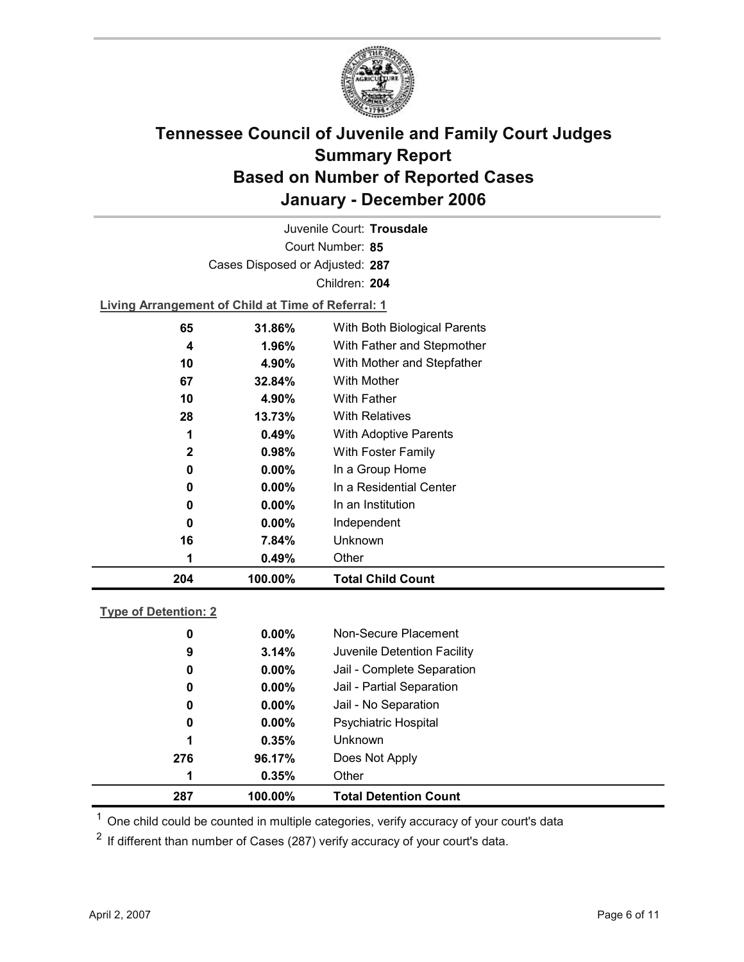

Court Number: **85** Juvenile Court: **Trousdale** Cases Disposed or Adjusted: **287** Children: **204**

**Living Arrangement of Child at Time of Referral: 1**

| 204 | 100.00%  | <b>Total Child Count</b>     |
|-----|----------|------------------------------|
| 1   | 0.49%    | Other                        |
| 16  | 7.84%    | Unknown                      |
| 0   | $0.00\%$ | Independent                  |
| 0   | $0.00\%$ | In an Institution            |
| 0   | $0.00\%$ | In a Residential Center      |
| 0   | $0.00\%$ | In a Group Home              |
| 2   | 0.98%    | With Foster Family           |
| 1   | 0.49%    | <b>With Adoptive Parents</b> |
| 28  | 13.73%   | <b>With Relatives</b>        |
| 10  | 4.90%    | <b>With Father</b>           |
| 67  | 32.84%   | With Mother                  |
| 10  | 4.90%    | With Mother and Stepfather   |
| 4   | $1.96\%$ | With Father and Stepmother   |
| 65  | 31.86%   | With Both Biological Parents |
|     |          |                              |

#### **Type of Detention: 2**

| 287 | 100.00%  | <b>Total Detention Count</b> |
|-----|----------|------------------------------|
| 1   | 0.35%    | Other                        |
| 276 | 96.17%   | Does Not Apply               |
| 1   | 0.35%    | Unknown                      |
| 0   | $0.00\%$ | <b>Psychiatric Hospital</b>  |
| 0   | $0.00\%$ | Jail - No Separation         |
| 0   | $0.00\%$ | Jail - Partial Separation    |
| 0   | $0.00\%$ | Jail - Complete Separation   |
| 9   | 3.14%    | Juvenile Detention Facility  |
| 0   | $0.00\%$ | Non-Secure Placement         |
|     |          |                              |

 $<sup>1</sup>$  One child could be counted in multiple categories, verify accuracy of your court's data</sup>

 $2$  If different than number of Cases (287) verify accuracy of your court's data.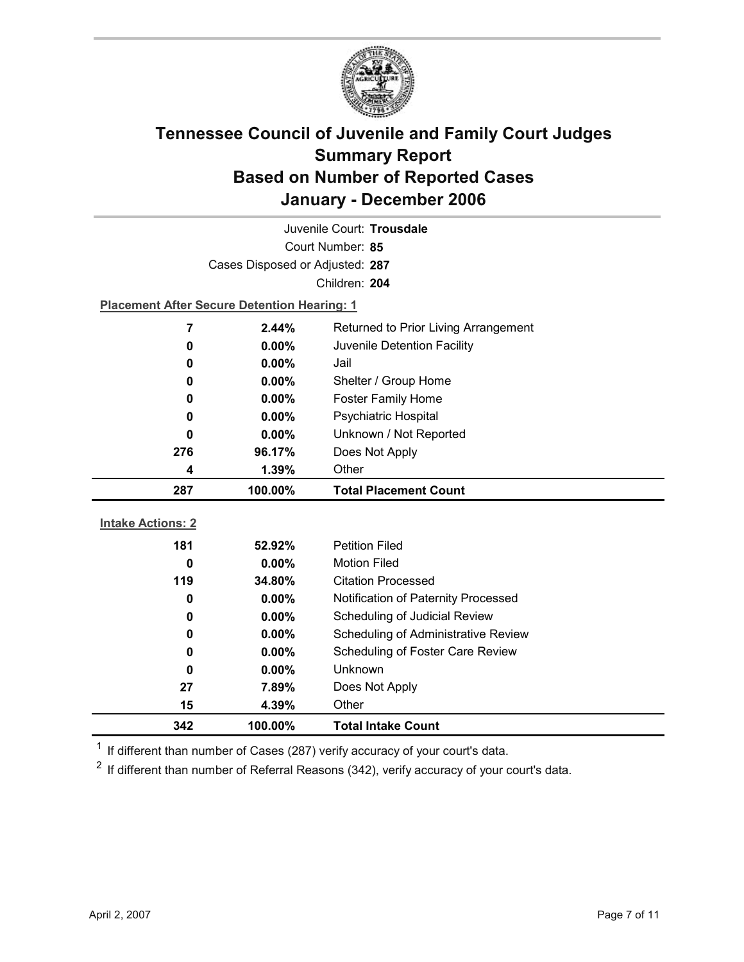

| Juvenile Court: Trousdale |                                                    |                                             |  |  |
|---------------------------|----------------------------------------------------|---------------------------------------------|--|--|
| Court Number: 85          |                                                    |                                             |  |  |
|                           | Cases Disposed or Adjusted: 287                    |                                             |  |  |
|                           | Children: 204                                      |                                             |  |  |
|                           | <b>Placement After Secure Detention Hearing: 1</b> |                                             |  |  |
| 7                         | 2.44%                                              | Returned to Prior Living Arrangement        |  |  |
| 0                         | 0.00%                                              | Juvenile Detention Facility                 |  |  |
| 0                         | $0.00\%$                                           | Jail                                        |  |  |
| 0                         | 0.00%                                              | Shelter / Group Home                        |  |  |
| 0                         | $0.00\%$                                           | <b>Foster Family Home</b>                   |  |  |
| 0                         | 0.00%                                              | Psychiatric Hospital                        |  |  |
| 0                         | 0.00%                                              | Unknown / Not Reported                      |  |  |
| 276                       | 96.17%                                             | Does Not Apply                              |  |  |
| 4                         | 1.39%                                              | Other                                       |  |  |
|                           |                                                    |                                             |  |  |
| 287                       | 100.00%                                            | <b>Total Placement Count</b>                |  |  |
|                           |                                                    |                                             |  |  |
| <b>Intake Actions: 2</b>  |                                                    |                                             |  |  |
| 181                       | 52.92%                                             | <b>Petition Filed</b>                       |  |  |
| 0                         | $0.00\%$                                           | <b>Motion Filed</b>                         |  |  |
| 119                       | 34.80%                                             | <b>Citation Processed</b>                   |  |  |
| 0                         | $0.00\%$                                           | Notification of Paternity Processed         |  |  |
| 0                         | 0.00%                                              | Scheduling of Judicial Review               |  |  |
| 0<br>0                    | $0.00\%$<br>0.00%                                  | Scheduling of Administrative Review         |  |  |
| 0                         | 0.00%                                              | Scheduling of Foster Care Review<br>Unknown |  |  |
| 27                        | 7.89%                                              | Does Not Apply                              |  |  |
| 15                        | 4.39%                                              | Other                                       |  |  |

 $1$  If different than number of Cases (287) verify accuracy of your court's data.

 $2$  If different than number of Referral Reasons (342), verify accuracy of your court's data.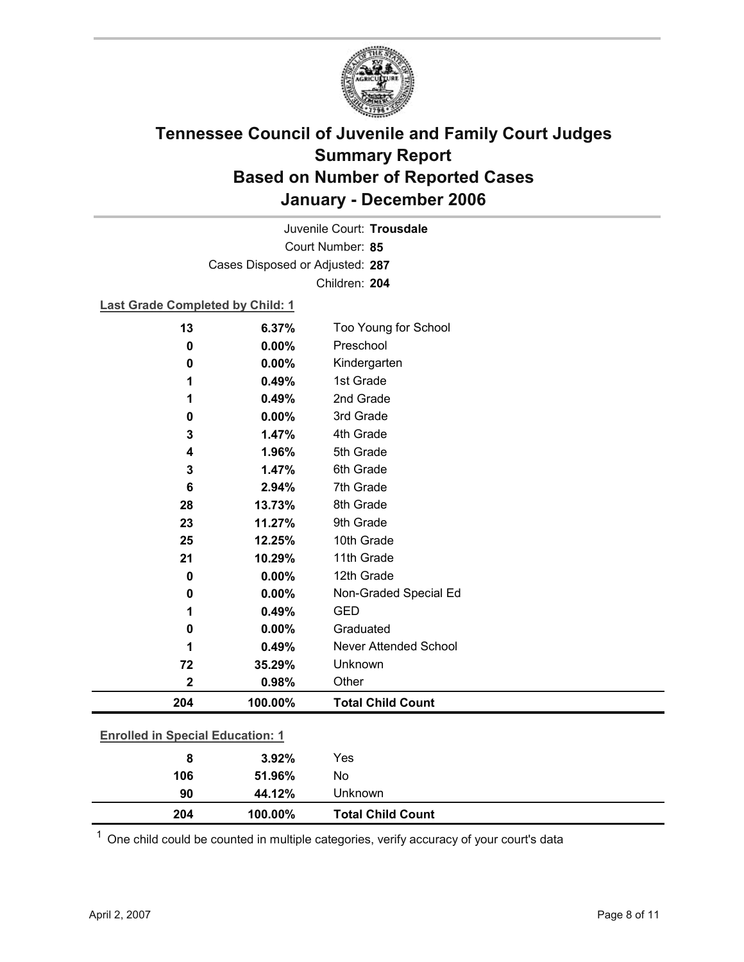

Court Number: **85** Juvenile Court: **Trousdale** Cases Disposed or Adjusted: **287** Children: **204**

### **Last Grade Completed by Child: 1**

| 13                                      | 6.37%    | Too Young for School         |
|-----------------------------------------|----------|------------------------------|
| 0                                       | 0.00%    | Preschool                    |
| 0                                       | $0.00\%$ | Kindergarten                 |
| 1                                       | 0.49%    | 1st Grade                    |
| 1                                       | 0.49%    | 2nd Grade                    |
| 0                                       | 0.00%    | 3rd Grade                    |
| 3                                       | 1.47%    | 4th Grade                    |
| 4                                       | 1.96%    | 5th Grade                    |
| 3                                       | 1.47%    | 6th Grade                    |
| 6                                       | 2.94%    | 7th Grade                    |
| 28                                      | 13.73%   | 8th Grade                    |
| 23                                      | 11.27%   | 9th Grade                    |
| 25                                      | 12.25%   | 10th Grade                   |
| 21                                      | 10.29%   | 11th Grade                   |
| 0                                       | 0.00%    | 12th Grade                   |
| 0                                       | 0.00%    | Non-Graded Special Ed        |
| 1                                       | 0.49%    | <b>GED</b>                   |
| 0                                       | 0.00%    | Graduated                    |
| 1                                       | 0.49%    | <b>Never Attended School</b> |
| 72                                      | 35.29%   | Unknown                      |
| $\mathbf 2$                             | 0.98%    | Other                        |
| 204                                     | 100.00%  | <b>Total Child Count</b>     |
| <b>Enrolled in Special Education: 1</b> |          |                              |
|                                         |          |                              |
| 8                                       | 3.92%    | Yes                          |
| 106                                     | 51.96%   | No                           |

 $1$  One child could be counted in multiple categories, verify accuracy of your court's data

**90 44.12%** Unknown

**204 100.00% Total Child Count**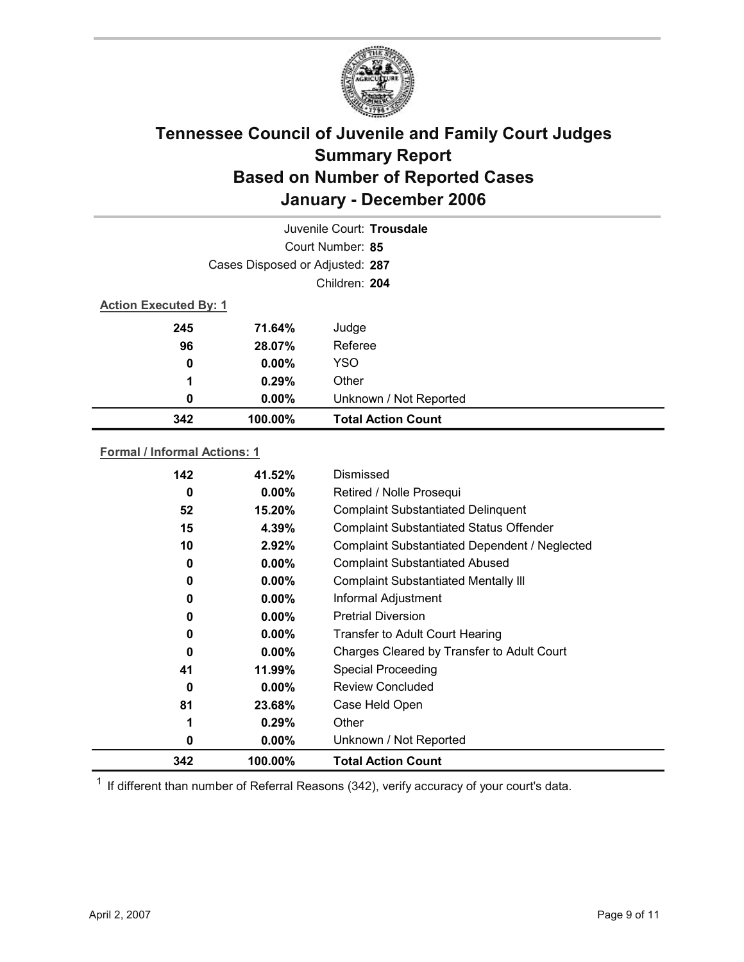

| Juvenile Court: Trousdale    |                                 |                           |  |  |
|------------------------------|---------------------------------|---------------------------|--|--|
|                              | Court Number: 85                |                           |  |  |
|                              | Cases Disposed or Adjusted: 287 |                           |  |  |
|                              | Children: 204                   |                           |  |  |
| <b>Action Executed By: 1</b> |                                 |                           |  |  |
| 245                          | 71.64%                          | Judge                     |  |  |
| 96                           | 28.07%                          | Referee                   |  |  |
| 0                            | $0.00\%$                        | <b>YSO</b>                |  |  |
| 1                            | 0.29%                           | Other                     |  |  |
| 0                            | $0.00\%$                        | Unknown / Not Reported    |  |  |
| 342                          | 100.00%                         | <b>Total Action Count</b> |  |  |

#### **Formal / Informal Actions: 1**

| 142 | 41.52%   | Dismissed                                      |
|-----|----------|------------------------------------------------|
| 0   | $0.00\%$ | Retired / Nolle Prosequi                       |
| 52  | 15.20%   | <b>Complaint Substantiated Delinquent</b>      |
| 15  | 4.39%    | <b>Complaint Substantiated Status Offender</b> |
| 10  | 2.92%    | Complaint Substantiated Dependent / Neglected  |
| 0   | $0.00\%$ | <b>Complaint Substantiated Abused</b>          |
| 0   | $0.00\%$ | <b>Complaint Substantiated Mentally III</b>    |
| 0   | $0.00\%$ | Informal Adjustment                            |
| 0   | $0.00\%$ | <b>Pretrial Diversion</b>                      |
| 0   | $0.00\%$ | <b>Transfer to Adult Court Hearing</b>         |
| 0   | $0.00\%$ | Charges Cleared by Transfer to Adult Court     |
| 41  | 11.99%   | <b>Special Proceeding</b>                      |
| 0   | $0.00\%$ | <b>Review Concluded</b>                        |
| 81  | 23.68%   | Case Held Open                                 |
| 1   | 0.29%    | Other                                          |
| 0   | $0.00\%$ | Unknown / Not Reported                         |
| 342 | 100.00%  | <b>Total Action Count</b>                      |

 $1$  If different than number of Referral Reasons (342), verify accuracy of your court's data.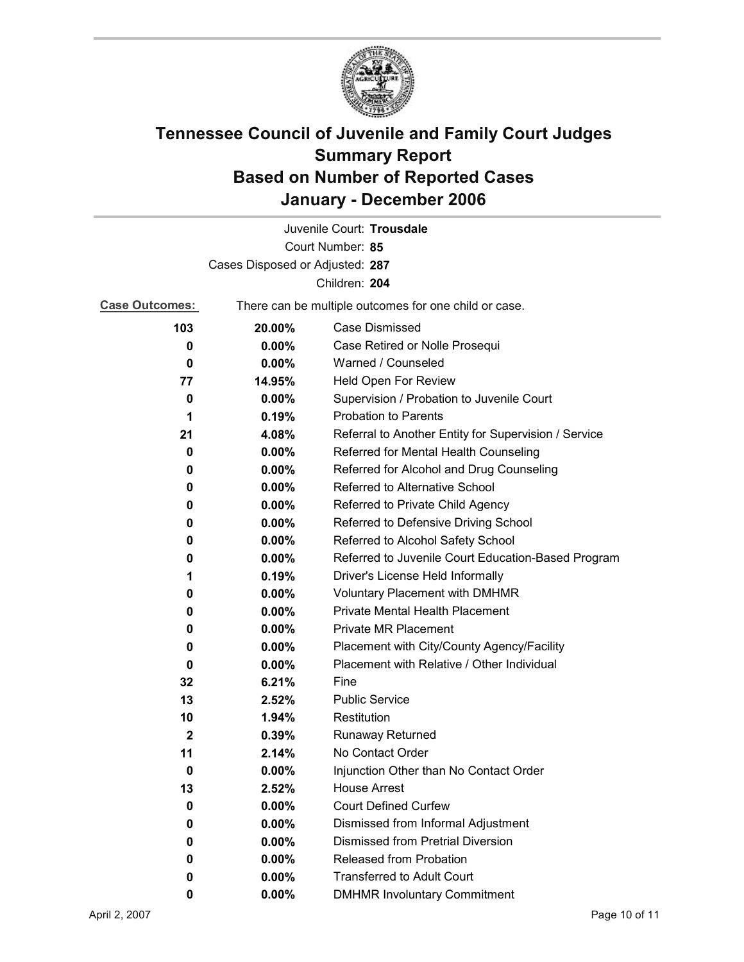

|                                 |          | Juvenile Court: Trousdale                             |
|---------------------------------|----------|-------------------------------------------------------|
|                                 |          | Court Number: 85                                      |
| Cases Disposed or Adjusted: 287 |          |                                                       |
|                                 |          | Children: 204                                         |
| <b>Case Outcomes:</b>           |          | There can be multiple outcomes for one child or case. |
| 103                             | 20.00%   | <b>Case Dismissed</b>                                 |
| 0                               | $0.00\%$ | Case Retired or Nolle Prosequi                        |
| 0                               | 0.00%    | Warned / Counseled                                    |
| 77                              | 14.95%   | Held Open For Review                                  |
| 0                               | 0.00%    | Supervision / Probation to Juvenile Court             |
| 1                               | 0.19%    | <b>Probation to Parents</b>                           |
| 21                              | 4.08%    | Referral to Another Entity for Supervision / Service  |
| 0                               | 0.00%    | Referred for Mental Health Counseling                 |
| 0                               | $0.00\%$ | Referred for Alcohol and Drug Counseling              |
| 0                               | 0.00%    | Referred to Alternative School                        |
| 0                               | $0.00\%$ | Referred to Private Child Agency                      |
| 0                               | $0.00\%$ | Referred to Defensive Driving School                  |
| 0                               | $0.00\%$ | Referred to Alcohol Safety School                     |
| 0                               | $0.00\%$ | Referred to Juvenile Court Education-Based Program    |
| 1                               | 0.19%    | Driver's License Held Informally                      |
| 0                               | $0.00\%$ | <b>Voluntary Placement with DMHMR</b>                 |
| 0                               | $0.00\%$ | <b>Private Mental Health Placement</b>                |
| 0                               | $0.00\%$ | <b>Private MR Placement</b>                           |
| 0                               | $0.00\%$ | Placement with City/County Agency/Facility            |
| 0                               | $0.00\%$ | Placement with Relative / Other Individual            |
| 32                              | 6.21%    | Fine                                                  |
| 13                              | 2.52%    | <b>Public Service</b>                                 |
| 10                              | 1.94%    | Restitution                                           |
| $\mathbf{2}$                    | 0.39%    | <b>Runaway Returned</b>                               |
| 11                              | 2.14%    | No Contact Order                                      |
| 0                               | 0.00%    | Injunction Other than No Contact Order                |
| 13                              | 2.52%    | <b>House Arrest</b>                                   |
| 0                               | $0.00\%$ | <b>Court Defined Curfew</b>                           |
| 0                               | 0.00%    | Dismissed from Informal Adjustment                    |
| 0                               | $0.00\%$ | <b>Dismissed from Pretrial Diversion</b>              |
| 0                               | $0.00\%$ | Released from Probation                               |
| 0                               | $0.00\%$ | <b>Transferred to Adult Court</b>                     |
| 0                               | $0.00\%$ | <b>DMHMR Involuntary Commitment</b>                   |